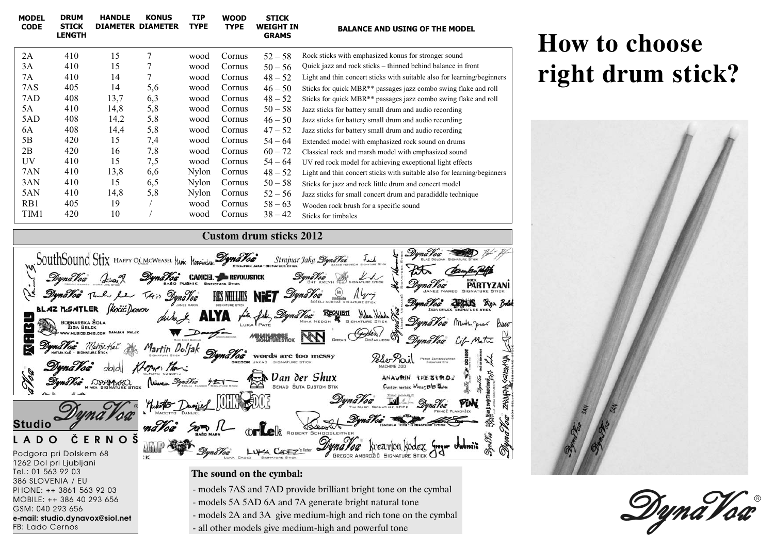| <b>MODEL</b><br><b>CODE</b>                                             | <b>DRUM</b><br><b>STICK</b><br><b>LENGTH</b> | <b>HANDLE</b> | <b>KONUS</b><br><b>DIAMETER DIAMETER</b> | TIP<br><b>TYPE</b> | <b>WOOD</b><br><b>TYPE</b> | <b>STICK</b><br><b>WEIGHT IN</b><br><b>GRAMS</b> | <b>BALANCE AND USING OF THE MODEL</b>                                       |
|-------------------------------------------------------------------------|----------------------------------------------|---------------|------------------------------------------|--------------------|----------------------------|--------------------------------------------------|-----------------------------------------------------------------------------|
| 2A                                                                      | 410                                          | 15            | 7                                        | wood               | Cornus                     | $52 - 58$                                        | Rock sticks with emphasized konus for stronger sound                        |
| 3A                                                                      | 410                                          | 15            |                                          | wood               | Cornus                     | $50 - 56$                                        | Quick jazz and rock sticks – thinned behind balance in front                |
| 7Α                                                                      | 410                                          | 14            | 7                                        | wood               | Cornus                     | $48 - 52$                                        | Light and thin concert sticks with suitable also for learning/beginners     |
| 7AS                                                                     | 405                                          | 14            | 5,6                                      | wood               | Cornus                     | $46 - 50$                                        | Sticks for quick MBR <sup>**</sup> passages jazz combo swing flake and roll |
| 7AD                                                                     | 408                                          | 13,7          | 6,3                                      | wood               | Cornus                     | $48 - 52$                                        | Sticks for quick MBR <sup>**</sup> passages jazz combo swing flake and roll |
| 5Α                                                                      | 410                                          | 14,8          | 5,8                                      | wood               | Cornus                     | $50 - 58$                                        | Jazz sticks for battery small drum and audio recording                      |
| 5AD                                                                     | 408                                          | 14,2          | 5,8                                      | wood               | Cornus                     | $46 - 50$                                        | Jazz sticks for battery small drum and audio recording                      |
| 6A                                                                      | 408                                          | 14,4          | 5,8                                      | wood               | Cornus                     | $47 - 52$                                        | Jazz sticks for battery small drum and audio recording                      |
| 5Β                                                                      | 420                                          | 15            | 7,4                                      | wood               | Cornus                     | $54 - 64$                                        | Extended model with emphasized rock sound on drums                          |
| 2B                                                                      | 420                                          | 16            | 7,8                                      | wood               | Cornus                     | $60 - 72$                                        | Classical rock and marsh model with emphasized sound                        |
| UV                                                                      | 410                                          | 15            | 7,5                                      | wood               | Cornus                     | $54 - 64$                                        | UV red rock model for achieving exceptional light effects                   |
| 7AN                                                                     | 410                                          | 13,8          | 6,6                                      | <b>Nylon</b>       | Cornus                     | $48 - 52$                                        | Light and thin concert sticks with suitable also for learning/beginners     |
| 3AN                                                                     | 410                                          | 15            | 6,5                                      | Nylon              | Cornus                     | $50 - 58$                                        | Sticks for jazz and rock little drum and concert model                      |
| 5AN                                                                     | 410                                          | 14,8          | 5,8                                      | <b>Nylon</b>       | Cornus                     | $52 - 56$                                        | Jazz sticks for small concert drum and paradiddle technique                 |
| R <sub>B</sub> 1                                                        | 405                                          | 19            |                                          | wood               | Cornus                     | $58 - 63$                                        | Wooden rock brush for a specific sound                                      |
| TIM1                                                                    | 420                                          | 10            |                                          | wood               | Cornus                     | $38 - 42$                                        | Sticks for timbales                                                         |
| $\alpha$ $\alpha$ $\alpha$<br>$\bigwedge \bigwedge \bigwedge \bigwedge$ |                                              |               |                                          |                    |                            |                                                  |                                                                             |

## **Custom drum sticks 2012**

| M SouthSound Stix HAPPY OF MCWEASEL HARIO HOPPINGLE DUMATOR Strainar Jaka DynaTor Text                  |
|---------------------------------------------------------------------------------------------------------|
|                                                                                                         |
| Synalog To le fue This Dynalog HIS NULLIS NIET Dynalog (a) Aly<br>DynaVoa DREUS Ego Boles               |
| BLAZ MSATLER Skocic/Janor duby ALVA fit fabr DynaVac REQUES Mus With STER                               |
| DynaVaa Mother Junes Bluer<br>$\overline{\mathbf{D}}$                                                   |
| <b>MESINARDERICK NON</b><br>DynaVac Life Matic<br>Dyna Voa Matija Kač                                   |
| Martin Dolfak DynaVog words are too messy<br>Peser Pail PETER SCHIENDORFER                              |
| SENERAYA<br>DynaVoa<br>Krepper Man:<br>1000                                                             |
| Synalog DISPINGO (WWW. STROW ) SENAL DAN DET SHUX ANAVRIN THE STROW ?<br>Custom series: Mate: BIB Selen |
| <b>ZARJUFMA</b><br>DynaVoa<br>In M- DynaVox<br>With Daniel WIII                                         |
|                                                                                                         |
| <b>Studio</b>                                                                                           |
| Lelk ROBERT SCHOOBLETTER<br><< CAPEZ's Voter DynaVoa kreation kodex Surger wabwite<br><b>RNOŠ</b>       |
| - DynaVoa<br>Podgora pri Dolskem 68                                                                     |
| 1262 Dol pri Ljubljani                                                                                  |

## **How to choose right drum stick?**





**The sound on the cymbal:** 

Tel.: 01 563 92 03 386 SLOVENIA / EU

GSM: 040 293 656

FB: Lado Cernos

PHONE: ++ 3861 563 92 03 MOBILE: ++ 386 40 293 656

**e-mail: studio.dynavox@siol.net**

- models 7AS and 7AD provide brilliant bright tone on the cymbal
- models 5A 5AD 6A and 7A generate bright natural tone
- models 2A and 3A give medium-high and rich tone on the cymbal
- all other models give medium-high and powerful tone